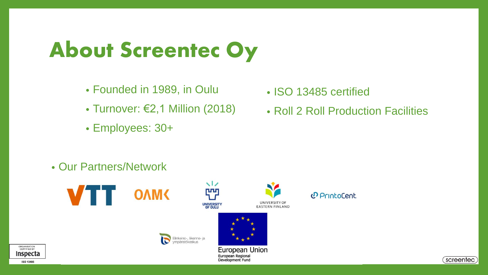# About Screentec Oy

- Founded in 1989, in Oulu
- Turnover: €2,1 Million (2018)
- Employees: 30+
- ISO 13485 certified
- Roll 2 Roll Production Facilities

• Our Partners/Network





European Union European Regional **Development Fund** 

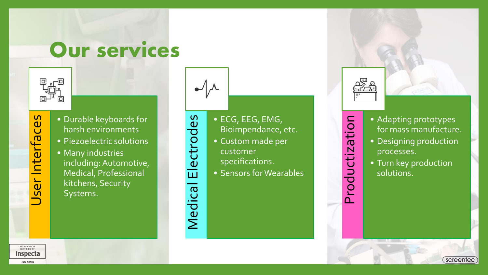### Our services



- Interfaces User Interfaces  $\overleftarrow{\mathbf{e}}$
- Durable keyboards for harsh environments
- Piezoelectric solutions
- Many industries including: Automotive, Medical, Professional kitchens, Security Systems.



Medical Electrodes

Medical

Electrodes

• ECG, EEG, EMG, Bioimpendance, etc.

- Custom made per customer
- specifications.
- Sensors for Wearables



Productization

- Adapting prototypes for mass manufacture.
- Designing production processes.
- Turn key production solutions.

screentec

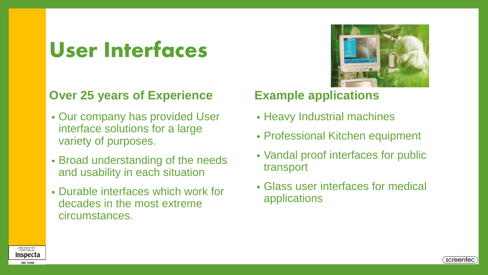## User Interfaces

#### **Over 25 years of Experience**

- Our company has provided User interface solutions for a large variety of purposes.
- Broad understanding of the needs and usability in each situation
- Durable interfaces which work for decades in the most extreme circumstances.



#### **Example applications**

- Heavy Industrial machines
- Professional Kitchen equipment
- Vandal proof interfaces for public transport
- Glass user interfaces for medical applications



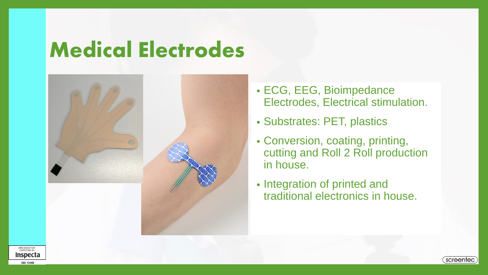## Medical Electrodes



- ECG, EEG, Bioimpedance Electrodes, Electrical stimulation.
- Substrates: PET, plastics
- Conversion, coating, printing, cutting and Roll 2 Roll production in house.
- Integration of printed and traditional electronics in house.



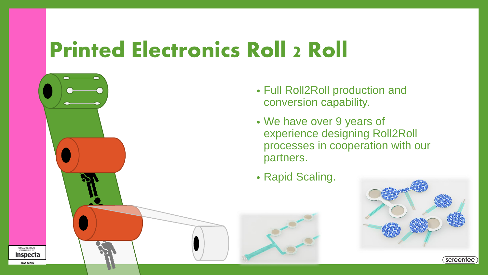## Printed Electronics Roll 2 Roll



- Full Roll2Roll production and conversion capability.
- We have over 9 years of experience designing Roll2Roll processes in cooperation with our partners.
- Rapid Scaling.